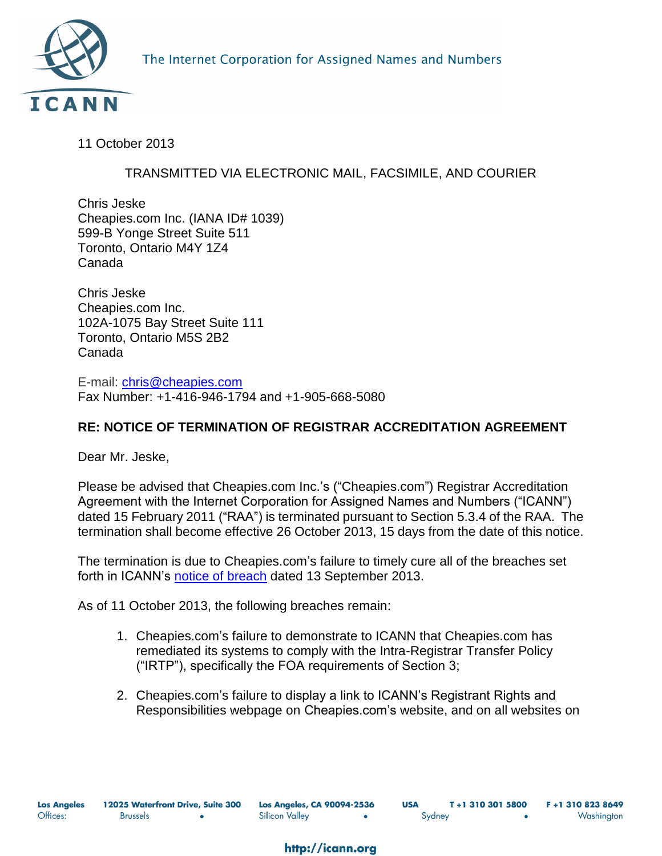11 October 2013

## TRANSMITTED VIA ELECTRONIC MAIL, FACSIMILE, AND COURIER

Chris Jeske Cheapies.com Inc. (IANA ID# 1039) 599-B Yonge Street Suite 511 Toronto, Ontario M4Y 1Z4 Canada

Chris Jeske Cheapies.com Inc. 102A-1075 Bay Street Suite 111 Toronto, Ontario M5S 2B2 Canada

E-mail: [chris@cheapies.com](mailto:chris@cheapies.com) Fax Number: +1-416-946-1794 and +1-905-668-5080

## **RE: NOTICE OF TERMINATION OF REGISTRAR ACCREDITATION AGREEMENT**

Dear Mr. Jeske,

Please be advised that Cheapies.com Inc.'s ("Cheapies.com") Registrar Accreditation Agreement with the Internet Corporation for Assigned Names and Numbers ("ICANN") dated 15 February 2011 ("RAA") is terminated pursuant to Section 5.3.4 of the RAA. The termination shall become effective 26 October 2013, 15 days from the date of this notice.

The termination is due to Cheapies.com's failure to timely cure all of the breaches set forth in ICANN's [notice of breach](http://www.icann.org/en/news/correspondence/serad-to-jeske-13sep13-en.pdf) dated 13 September 2013.

As of 11 October 2013, the following breaches remain:

- 1. Cheapies.com's failure to demonstrate to ICANN that Cheapies.com has remediated its systems to comply with the Intra-Registrar Transfer Policy ("IRTP"), specifically the FOA requirements of Section 3;
- 2. Cheapies.com's failure to display a link to ICANN's Registrant Rights and Responsibilities webpage on Cheapies.com's website, and on all websites on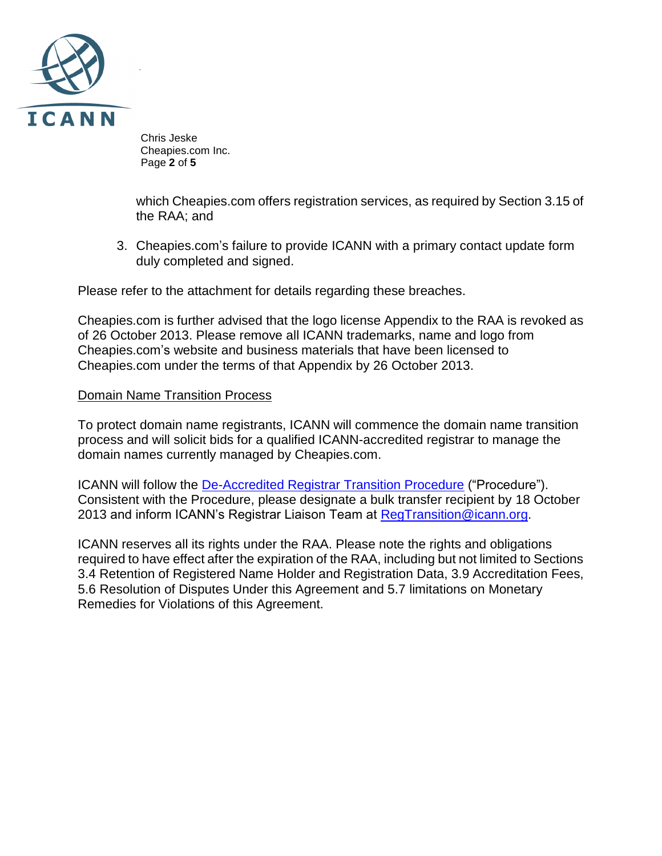

 Chris Jeske Cheapies.com Inc. Page **2** of **5**

which Cheapies.com offers registration services, as required by Section 3.15 of the RAA; and

3. Cheapies.com's failure to provide ICANN with a primary contact update form duly completed and signed.

Please refer to the attachment for details regarding these breaches.

Cheapies.com is further advised that the logo license Appendix to the RAA is revoked as of 26 October 2013. Please remove all ICANN trademarks, name and logo from Cheapies.com's website and business materials that have been licensed to Cheapies.com under the terms of that Appendix by 26 October 2013.

## Domain Name Transition Process

To protect domain name registrants, ICANN will commence the domain name transition process and will solicit bids for a qualified ICANN-accredited registrar to manage the domain names currently managed by Cheapies.com.

ICANN will follow the [De-Accredited Registrar Transition Procedure](http://www.icann.org/en/processes/registrars/de-accredited-registrar-transition-procedur%20e-01oct08.pdf) ("Procedure"). Consistent with the Procedure, please designate a bulk transfer recipient by 18 October 2013 and inform ICANN's Registrar Liaison Team at [RegTransition@icann.org.](mailto:RegTransition@icann.org)

ICANN reserves all its rights under the RAA. Please note the rights and obligations required to have effect after the expiration of the RAA, including but not limited to Sections 3.4 Retention of Registered Name Holder and Registration Data, 3.9 Accreditation Fees, 5.6 Resolution of Disputes Under this Agreement and 5.7 limitations on Monetary Remedies for Violations of this Agreement.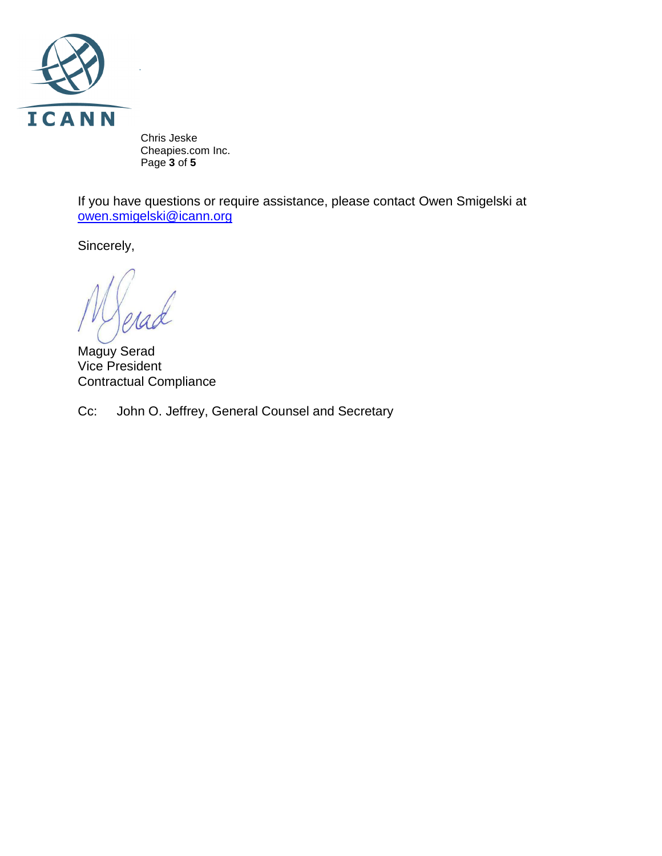

 Chris Jeske Cheapies.com Inc. Page **3** of **5**

If you have questions or require assistance, please contact Owen Smigelski at [owen.smigelski@icann.org](mailto:stacy.burnette@icann.org)

Sincerely,

Maguy Serad Vice President Contractual Compliance

Cc: John O. Jeffrey, General Counsel and Secretary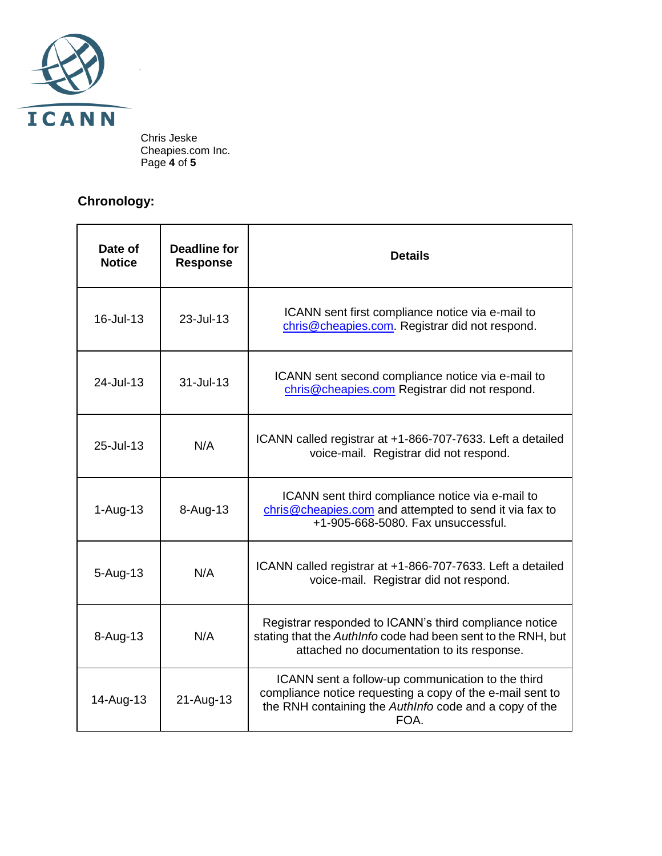

 Chris Jeske Cheapies.com Inc. Page **4** of **5**

## **Chronology:**

| Date of<br><b>Notice</b> | <b>Deadline for</b><br><b>Response</b> | <b>Details</b>                                                                                                                                                                   |
|--------------------------|----------------------------------------|----------------------------------------------------------------------------------------------------------------------------------------------------------------------------------|
| 16-Jul-13                | 23-Jul-13                              | ICANN sent first compliance notice via e-mail to<br>chris@cheapies.com. Registrar did not respond.                                                                               |
| 24-Jul-13                | 31-Jul-13                              | ICANN sent second compliance notice via e-mail to<br>chris@cheapies.com Registrar did not respond.                                                                               |
| 25-Jul-13                | N/A                                    | ICANN called registrar at +1-866-707-7633. Left a detailed<br>voice-mail. Registrar did not respond.                                                                             |
| $1-Auq-13$               | 8-Aug-13                               | ICANN sent third compliance notice via e-mail to<br>chris@cheapies.com and attempted to send it via fax to<br>+1-905-668-5080. Fax unsuccessful.                                 |
| $5 - Aug-13$             | N/A                                    | ICANN called registrar at +1-866-707-7633. Left a detailed<br>voice-mail. Registrar did not respond.                                                                             |
| 8-Aug-13                 | N/A                                    | Registrar responded to ICANN's third compliance notice<br>stating that the AuthInfo code had been sent to the RNH, but<br>attached no documentation to its response.             |
| 14-Aug-13                | 21-Aug-13                              | ICANN sent a follow-up communication to the third<br>compliance notice requesting a copy of the e-mail sent to<br>the RNH containing the AuthInfo code and a copy of the<br>FOA. |